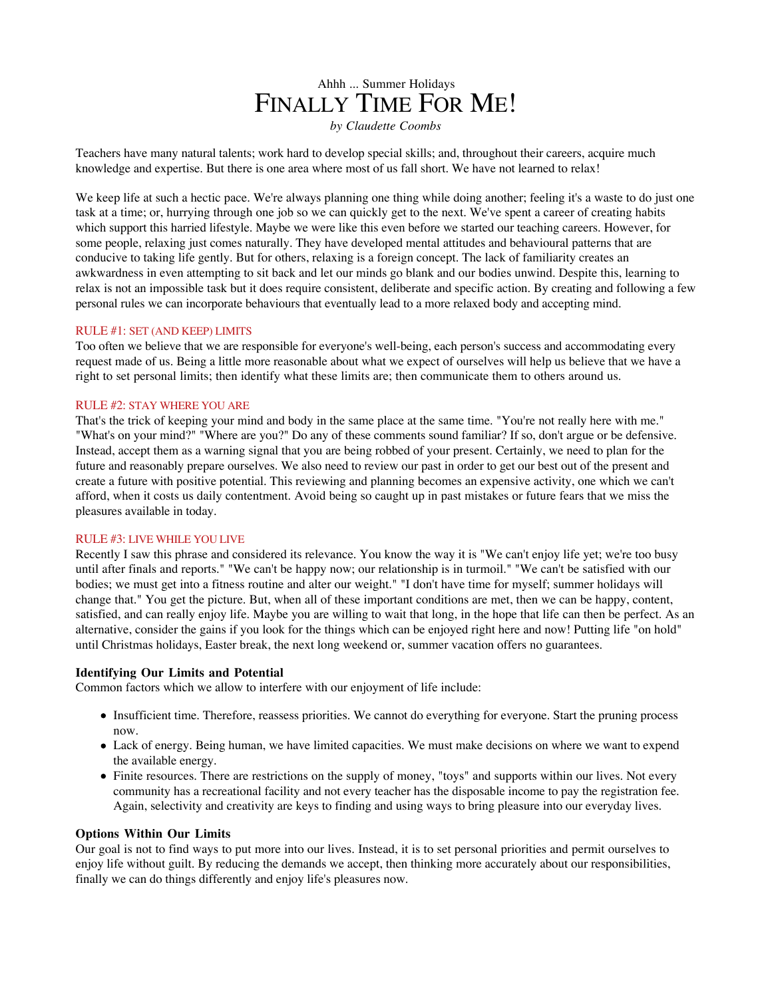# Ahhh ... Summer Holidays FINALLY TIME FOR ME!

*by Claudette Coombs*

Teachers have many natural talents; work hard to develop special skills; and, throughout their careers, acquire much knowledge and expertise. But there is one area where most of us fall short. We have not learned to relax!

We keep life at such a hectic pace. We're always planning one thing while doing another; feeling it's a waste to do just one task at a time; or, hurrying through one job so we can quickly get to the next. We've spent a career of creating habits which support this harried lifestyle. Maybe we were like this even before we started our teaching careers. However, for some people, relaxing just comes naturally. They have developed mental attitudes and behavioural patterns that are conducive to taking life gently. But for others, relaxing is a foreign concept. The lack of familiarity creates an awkwardness in even attempting to sit back and let our minds go blank and our bodies unwind. Despite this, learning to relax is not an impossible task but it does require consistent, deliberate and specific action. By creating and following a few personal rules we can incorporate behaviours that eventually lead to a more relaxed body and accepting mind.

#### RULE #1: SET (AND KEEP) LIMITS

Too often we believe that we are responsible for everyone's well-being, each person's success and accommodating every request made of us. Being a little more reasonable about what we expect of ourselves will help us believe that we have a right to set personal limits; then identify what these limits are; then communicate them to others around us.

#### RULE #2: STAY WHERE YOU ARE

That's the trick of keeping your mind and body in the same place at the same time. "You're not really here with me." "What's on your mind?" "Where are you?" Do any of these comments sound familiar? If so, don't argue or be defensive. Instead, accept them as a warning signal that you are being robbed of your present. Certainly, we need to plan for the future and reasonably prepare ourselves. We also need to review our past in order to get our best out of the present and create a future with positive potential. This reviewing and planning becomes an expensive activity, one which we can't afford, when it costs us daily contentment. Avoid being so caught up in past mistakes or future fears that we miss the pleasures available in today.

### RULE #3: LIVE WHILE YOU LIVE

Recently I saw this phrase and considered its relevance. You know the way it is "We can't enjoy life yet; we're too busy until after finals and reports." "We can't be happy now; our relationship is in turmoil." "We can't be satisfied with our bodies; we must get into a fitness routine and alter our weight." "I don't have time for myself; summer holidays will change that." You get the picture. But, when all of these important conditions are met, then we can be happy, content, satisfied, and can really enjoy life. Maybe you are willing to wait that long, in the hope that life can then be perfect. As an alternative, consider the gains if you look for the things which can be enjoyed right here and now! Putting life "on hold" until Christmas holidays, Easter break, the next long weekend or, summer vacation offers no guarantees.

## **Identifying Our Limits and Potential**

Common factors which we allow to interfere with our enjoyment of life include:

- Insufficient time. Therefore, reassess priorities. We cannot do everything for everyone. Start the pruning process now.
- Lack of energy. Being human, we have limited capacities. We must make decisions on where we want to expend the available energy.
- Finite resources. There are restrictions on the supply of money, "toys" and supports within our lives. Not every community has a recreational facility and not every teacher has the disposable income to pay the registration fee. Again, selectivity and creativity are keys to finding and using ways to bring pleasure into our everyday lives.

#### **Options Within Our Limits**

Our goal is not to find ways to put more into our lives. Instead, it is to set personal priorities and permit ourselves to enjoy life without guilt. By reducing the demands we accept, then thinking more accurately about our responsibilities, finally we can do things differently and enjoy life's pleasures now.